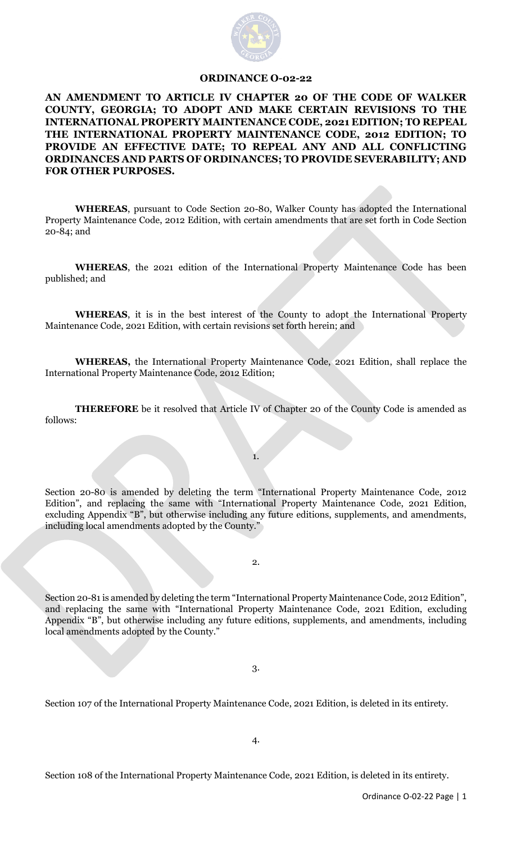

## **ORDINANCE O-02-22**

**AN AMENDMENT TO ARTICLE IV CHAPTER 20 OF THE CODE OF WALKER COUNTY, GEORGIA; TO ADOPT AND MAKE CERTAIN REVISIONS TO THE INTERNATIONAL PROPERTY MAINTENANCE CODE, 2021 EDITION; TO REPEAL THE INTERNATIONAL PROPERTY MAINTENANCE CODE, 2012 EDITION; TO PROVIDE AN EFFECTIVE DATE; TO REPEAL ANY AND ALL CONFLICTING ORDINANCES AND PARTS OF ORDINANCES; TO PROVIDE SEVERABILITY; AND FOR OTHER PURPOSES.**

**WHEREAS**, pursuant to Code Section 20-80, Walker County has adopted the International Property Maintenance Code, 2012 Edition, with certain amendments that are set forth in Code Section 20-84; and

**WHEREAS**, the 2021 edition of the International Property Maintenance Code has been published; and

**WHEREAS**, it is in the best interest of the County to adopt the International Property Maintenance Code, 2021 Edition, with certain revisions set forth herein; and

**WHEREAS,** the International Property Maintenance Code, 2021 Edition, shall replace the International Property Maintenance Code, 2012 Edition;

**THEREFORE** be it resolved that Article IV of Chapter 20 of the County Code is amended as follows:

1.

Section 20-80 is amended by deleting the term "International Property Maintenance Code, 2012 Edition", and replacing the same with "International Property Maintenance Code, 2021 Edition, excluding Appendix "B", but otherwise including any future editions, supplements, and amendments, including local amendments adopted by the County."

2.

Section 20-81 is amended by deleting the term "International Property Maintenance Code, 2012 Edition", and replacing the same with "International Property Maintenance Code, 2021 Edition, excluding Appendix "B", but otherwise including any future editions, supplements, and amendments, including local amendments adopted by the County."

3.

Section 107 of the International Property Maintenance Code, 2021 Edition, is deleted in its entirety.

4.

Section 108 of the International Property Maintenance Code, 2021 Edition, is deleted in its entirety.